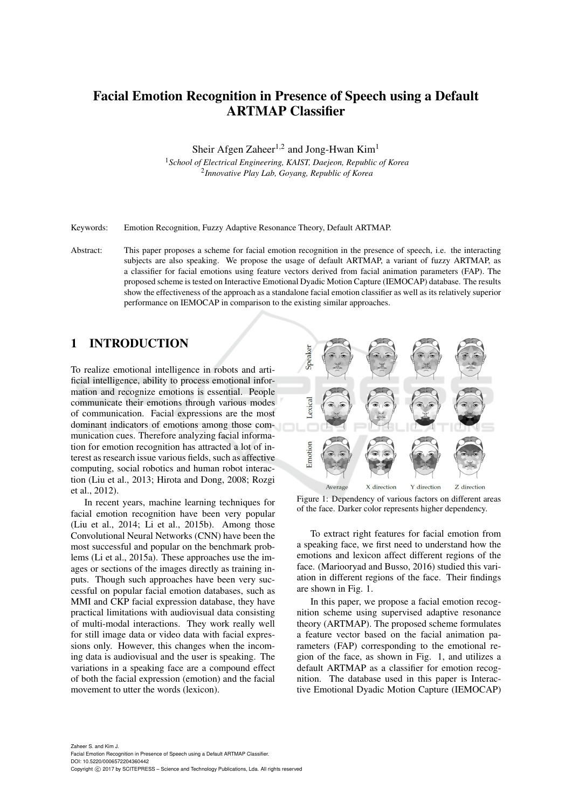# Facial Emotion Recognition in Presence of Speech using a Default ARTMAP Classifier

Sheir Afgen Zaheer<sup>1,2</sup> and Jong-Hwan Kim<sup>1</sup>

<sup>1</sup>*School of Electrical Engineering, KAIST, Daejeon, Republic of Korea* 2 *Innovative Play Lab, Goyang, Republic of Korea*

Keywords: Emotion Recognition, Fuzzy Adaptive Resonance Theory, Default ARTMAP.

Abstract: This paper proposes a scheme for facial emotion recognition in the presence of speech, i.e. the interacting subjects are also speaking. We propose the usage of default ARTMAP, a variant of fuzzy ARTMAP, as a classifier for facial emotions using feature vectors derived from facial animation parameters (FAP). The proposed scheme is tested on Interactive Emotional Dyadic Motion Capture (IEMOCAP) database. The results show the effectiveness of the approach as a standalone facial emotion classifier as well as its relatively superior performance on IEMOCAP in comparison to the existing similar approaches.

# 1 INTRODUCTION

To realize emotional intelligence in robots and artificial intelligence, ability to process emotional information and recognize emotions is essential. People communicate their emotions through various modes of communication. Facial expressions are the most dominant indicators of emotions among those communication cues. Therefore analyzing facial information for emotion recognition has attracted a lot of interest as research issue various fields, such as affective computing, social robotics and human robot interaction (Liu et al., 2013; Hirota and Dong, 2008; Rozgi et al., 2012).

In recent years, machine learning techniques for facial emotion recognition have been very popular (Liu et al., 2014; Li et al., 2015b). Among those Convolutional Neural Networks (CNN) have been the most successful and popular on the benchmark problems (Li et al., 2015a). These approaches use the images or sections of the images directly as training inputs. Though such approaches have been very successful on popular facial emotion databases, such as MMI and CKP facial expression database, they have practical limitations with audiovisual data consisting of multi-modal interactions. They work really well for still image data or video data with facial expressions only. However, this changes when the incoming data is audiovisual and the user is speaking. The variations in a speaking face are a compound effect of both the facial expression (emotion) and the facial movement to utter the words (lexicon).



Figure 1: Dependency of various factors on different areas of the face. Darker color represents higher dependency.

To extract right features for facial emotion from a speaking face, we first need to understand how the emotions and lexicon affect different regions of the face. (Mariooryad and Busso, 2016) studied this variation in different regions of the face. Their findings are shown in Fig. 1.

In this paper, we propose a facial emotion recognition scheme using supervised adaptive resonance theory (ARTMAP). The proposed scheme formulates a feature vector based on the facial animation parameters (FAP) corresponding to the emotional region of the face, as shown in Fig. 1, and utilizes a default ARTMAP as a classifier for emotion recognition. The database used in this paper is Interactive Emotional Dyadic Motion Capture (IEMOCAP)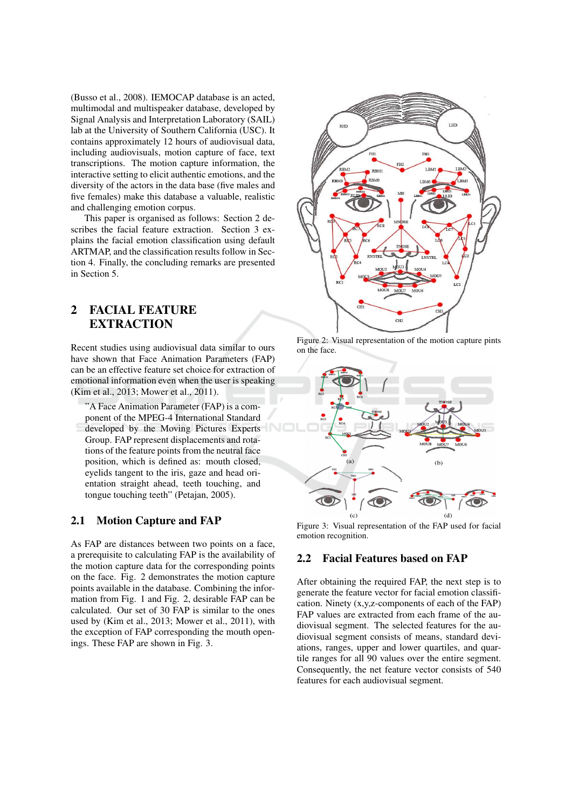(Busso et al., 2008). IEMOCAP database is an acted, multimodal and multispeaker database, developed by Signal Analysis and Interpretation Laboratory (SAIL) lab at the University of Southern California (USC). It contains approximately 12 hours of audiovisual data, including audiovisuals, motion capture of face, text transcriptions. The motion capture information, the interactive setting to elicit authentic emotions, and the diversity of the actors in the data base (five males and five females) make this database a valuable, realistic and challenging emotion corpus.

This paper is organised as follows: Section 2 describes the facial feature extraction. Section 3 explains the facial emotion classification using default ARTMAP, and the classification results follow in Section 4. Finally, the concluding remarks are presented in Section 5.

## $\overline{2}$ **FACIAL FEATURE EXTRACTION**

Recent studies using audiovisual data similar to ours have shown that Face Animation Parameters (FAP) can be an effective feature set choice for extraction of emotional information even when the user is speaking (Kim et al., 2013; Mower et al., 2011).

"A Face Animation Parameter (FAP) is a component of the MPEG-4 International Standard developed by the Moving Pictures Experts Group. FAP represent displacements and rotations of the feature points from the neutral face position, which is defined as: mouth closed, eyelids tangent to the iris, gaze and head orientation straight ahead, teeth touching, and tongue touching teeth" (Petajan, 2005).

#### **Motion Capture and FAP**  $2.1$

As FAP are distances between two points on a face, a prerequisite to calculating FAP is the availability of the motion capture data for the corresponding points on the face. Fig. 2 demonstrates the motion capture points available in the database. Combining the information from Fig. 1 and Fig. 2, desirable FAP can be calculated. Our set of 30 FAP is similar to the ones used by (Kim et al., 2013; Mower et al., 2011), with the exception of FAP corresponding the mouth openings. These FAP are shown in Fig. 3.



Figure 2: Visual representation of the motion capture pints on the face.



Figure 3: Visual representation of the FAP used for facial emotion recognition.

#### **Facial Features based on FAP**  $2.2$

After obtaining the required FAP, the next step is to generate the feature vector for facial emotion classification. Ninety  $(x, y, z$ -components of each of the FAP) FAP values are extracted from each frame of the audiovisual segment. The selected features for the audiovisual segment consists of means, standard deviations, ranges, upper and lower quartiles, and quartile ranges for all 90 values over the entire segment. Consequently, the net feature vector consists of 540 features for each audiovisual segment.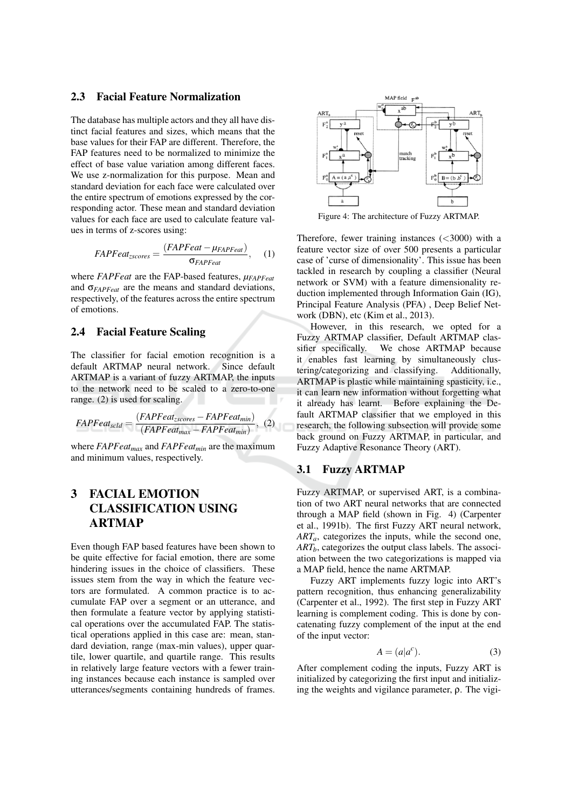#### $2.3$ **Facial Feature Normalization**

The database has multiple actors and they all have distinct facial features and sizes, which means that the base values for their FAP are different. Therefore, the FAP features need to be normalized to minimize the effect of base value variation among different faces. We use z-normalization for this purpose. Mean and standard deviation for each face were calculated over the entire spectrum of emotions expressed by the corresponding actor. These mean and standard deviation values for each face are used to calculate feature values in terms of z-scores using:

$$
FAPFeatures = \frac{(FAPFeatures - \mu_{FAPFeatures})}{\sigma_{FAPFeatures}}, \quad (1)
$$

where  $FAPFeat$  are the FAP-based features,  $\mu_{FAPFeat}$ and  $\sigma_{FAPFeat}$  are the means and standard deviations. respectively, of the features across the entire spectrum of emotions.

#### **Facial Feature Scaling**  $2.4$

The classifier for facial emotion recognition is a default ARTMAP neural network. Since default ARTMAP is a variant of fuzzy ARTMAP, the inputs to the network need to be scaled to a zero-to-one range.  $(2)$  is used for scaling.

$$
FAPFeatures_{cld} = \frac{(FAPFeatures - FAPFeatures)}{(FAPFeatures - FAPFeatures)} , (2)
$$

where  $FAPFeatures$  and  $FAPFeatures$  are the maximum and minimum values, respectively.

## **FACIAL EMOTION** 3 **CLASSIFICATION USING ARTMAP**

Even though FAP based features have been shown to be quite effective for facial emotion, there are some hindering issues in the choice of classifiers. These issues stem from the way in which the feature vectors are formulated. A common practice is to accumulate FAP over a segment or an utterance, and then formulate a feature vector by applying statistical operations over the accumulated FAP. The statistical operations applied in this case are: mean, standard deviation, range (max-min values), upper quartile, lower quartile, and quartile range. This results in relatively large feature vectors with a fewer training instances because each instance is sampled over utterances/segments containing hundreds of frames.



Figure 4: The architecture of Fuzzy ARTMAP.

Therefore, fewer training instances  $( $3000$ )$  with a feature vector size of over 500 presents a particular case of 'curse of dimensionality'. This issue has been tackled in research by coupling a classifier (Neural network or SVM) with a feature dimensionality reduction implemented through Information Gain (IG), Principal Feature Analysis (PFA), Deep Belief Network (DBN), etc (Kim et al., 2013).

However, in this research, we opted for a Fuzzy ARTMAP classifier, Default ARTMAP classifier specifically. We chose ARTMAP because it enables fast learning by simultaneously clustering/categorizing and classifying. Additionally, ARTMAP is plastic while maintaining spasticity, i.e., it can learn new information without forgetting what it already has learnt. Before explaining the Default ARTMAP classifier that we employed in this research, the following subsection will provide some back ground on Fuzzy ARTMAP, in particular, and Fuzzy Adaptive Resonance Theory (ART).

#### **Fuzzy ARTMAP**  $3.1$

Fuzzy ARTMAP, or supervised ART, is a combination of two ART neural networks that are connected through a MAP field (shown in Fig. 4) (Carpenter et al., 1991b). The first Fuzzy ART neural network,  $ART<sub>a</sub>$ , categorizes the inputs, while the second one,  $ART<sub>b</sub>$ , categorizes the output class labels. The association between the two categorizations is mapped via a MAP field, hence the name ARTMAP.

Fuzzy ART implements fuzzy logic into ART's pattern recognition, thus enhancing generalizability (Carpenter et al., 1992). The first step in Fuzzy ART learning is complement coding. This is done by concatenating fuzzy complement of the input at the end of the input vector:

$$
A = (a|a^c). \tag{3}
$$

After complement coding the inputs, Fuzzy ART is initialized by categorizing the first input and initializing the weights and vigilance parameter,  $\rho$ . The vigi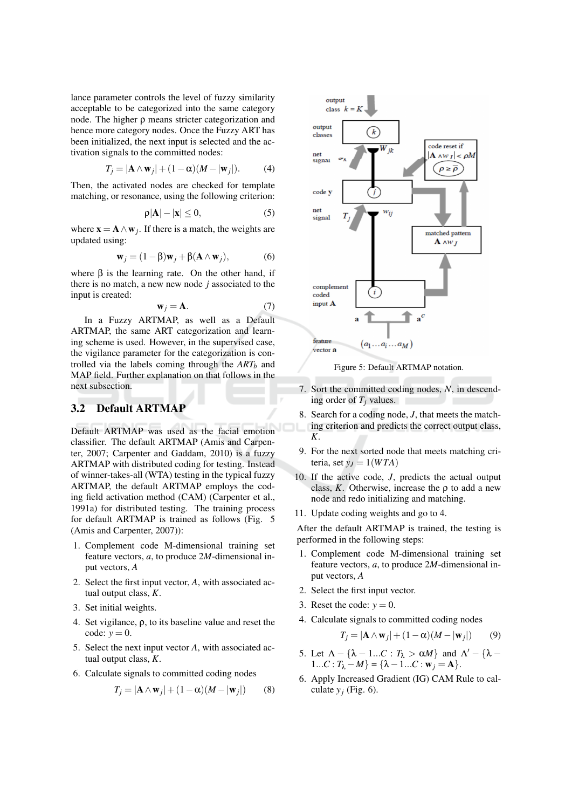lance parameter controls the level of fuzzy similarity acceptable to be categorized into the same category node. The higher  $\rho$  means stricter categorization and hence more category nodes. Once the Fuzzy ART has been initialized, the next input is selected and the activation signals to the committed nodes:

$$
T_j = |\mathbf{A} \wedge \mathbf{w}_j| + (1 - \alpha)(M - |\mathbf{w}_j|). \tag{4}
$$

Then, the activated nodes are checked for template matching, or resonance, using the following criterion:

$$
\rho|\mathbf{A}| - |\mathbf{x}| \le 0,\tag{5}
$$

where  $\mathbf{x} = \mathbf{A} \wedge \mathbf{w}_i$ . If there is a match, the weights are updated using:

$$
\mathbf{w}_j = (1 - \beta)\mathbf{w}_j + \beta(\mathbf{A} \wedge \mathbf{w}_j),\tag{6}
$$

where  $\beta$  is the learning rate. On the other hand, if there is no match, a new new node  $j$  associated to the input is created:

$$
\mathbf{w}_j = \mathbf{A}.\tag{7}
$$

In a Fuzzy ARTMAP, as well as a Default ARTMAP, the same ART categorization and learning scheme is used. However, in the supervised case, the vigilance parameter for the categorization is controlled via the labels coming through the  $ART<sub>h</sub>$  and MAP field. Further explanation on that follows in the next subsection.

#### $3.2$ **Default ARTMAP**

Default ARTMAP was used as the facial emotion classifier. The default ARTMAP (Amis and Carpenter, 2007; Carpenter and Gaddam, 2010) is a fuzzy ARTMAP with distributed coding for testing. Instead of winner-takes-all (WTA) testing in the typical fuzzy ARTMAP, the default ARTMAP employs the coding field activation method (CAM) (Carpenter et al., 1991a) for distributed testing. The training process for default ARTMAP is trained as follows (Fig. 5 (Amis and Carpenter, 2007)):

- 1. Complement code M-dimensional training set feature vectors,  $a$ , to produce  $2M$ -dimensional input vectors, A
- 2. Select the first input vector, A, with associated actual output class, K.
- 3. Set initial weights.
- 4. Set vigilance,  $\rho$ , to its baseline value and reset the code:  $y = 0$ .
- 5. Select the next input vector A, with associated actual output class,  $K$ .
- 6. Calculate signals to committed coding nodes

$$
T_j = |\mathbf{A} \wedge \mathbf{w}_j| + (1 - \alpha)(M - |\mathbf{w}_j|) \tag{8}
$$



Figure 5: Default ARTMAP notation.

- 7. Sort the committed coding nodes, N, in descending order of  $T_i$  values.
- 8. Search for a coding node,  $J$ , that meets the matching criterion and predicts the correct output class,  $K$ .
- 9. For the next sorted node that meets matching criteria, set  $y_I = 1(WTA)$
- 10. If the active code,  $J$ , predicts the actual output class, K. Otherwise, increase the  $\rho$  to add a new node and redo initializing and matching.
- 11. Update coding weights and go to 4.

After the default ARTMAP is trained, the testing is performed in the following steps:

- 1. Complement code M-dimensional training set feature vectors,  $a$ , to produce  $2M$ -dimensional input vectors, A
- 2. Select the first input vector.
- 3. Reset the code:  $y = 0$ .
- 4. Calculate signals to committed coding nodes

$$
T_i = |\mathbf{A} \wedge \mathbf{w}_i| + (1 - \alpha)(M - |\mathbf{w}_i|) \tag{9}
$$

- 5. Let  $\Lambda {\lambda 1...C : T_{\lambda} > \alpha M}$  and  $\Lambda' {\lambda -$ 1...C:  $T_{\lambda} - M$ } = { $\lambda - 1$ ...C:  $\mathbf{w}_i = \mathbf{A}$ }.
- 6. Apply Increased Gradient (IG) CAM Rule to calculate  $v_i$  (Fig. 6).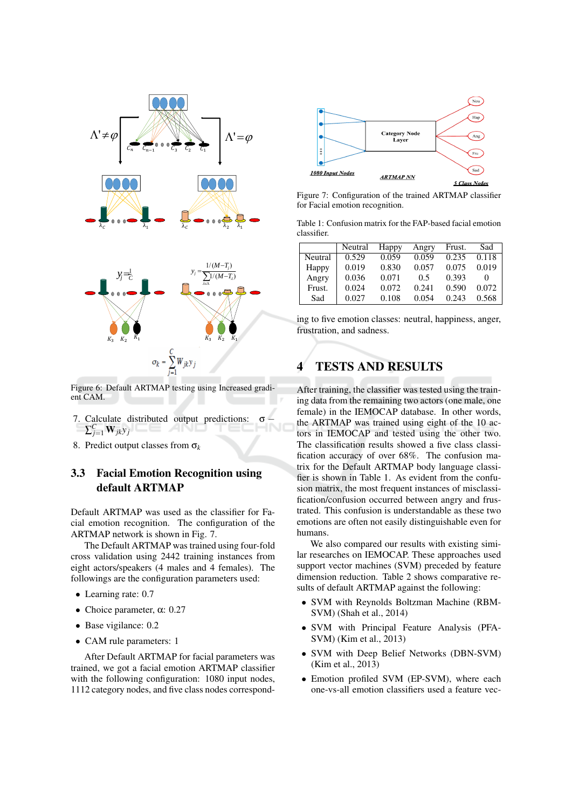

Figure 6: Default ARTMAP testing using Increased gradient CAM.

- 7. Calculate distributed output predictions:  $\sigma$  $\sum_{j=1}^{C} \mathbf{W}_{jk} y_j$
- 8. Predict output classes from  $\sigma_k$

### **Facial Emotion Recognition using**  $3.3$ default ARTMAP

Default ARTMAP was used as the classifier for Facial emotion recognition. The configuration of the ARTMAP network is shown in Fig. 7.

The Default ARTMAP was trained using four-fold cross validation using 2442 training instances from eight actors/speakers (4 males and 4 females). The followings are the configuration parameters used:

- $\bullet$  Learning rate: 0.7
- Choice parameter,  $\alpha$ : 0.27
- Base vigilance: 0.2
- CAM rule parameters: 1

After Default ARTMAP for facial parameters was trained, we got a facial emotion ARTMAP classifier with the following configuration: 1080 input nodes, 1112 category nodes, and five class nodes correspond-



Figure 7: Configuration of the trained ARTMAP classifier for Facial emotion recognition.

Table 1: Confusion matrix for the FAP-based facial emotion classifier.

|         | Neutral | Happy | Angry | Frust. | Sad   |
|---------|---------|-------|-------|--------|-------|
| Neutral | 0.529   | 0.059 | 0.059 | 0.235  | 0.118 |
| Happy   | 0.019   | 0.830 | 0.057 | 0.075  | 0.019 |
| Angry   | 0.036   | 0.071 | 0.5   | 0.393  |       |
| Frust.  | 0.024   | 0.072 | 0.241 | 0.590  | 0.072 |
| Sad     | 0.027   | 0.108 | 0.054 | 0.243  | 0.568 |

ing to five emotion classes: neutral, happiness, anger, frustration, and sadness.

#### **TESTS AND RESULTS** 4

After training, the classifier was tested using the training data from the remaining two actors (one male, one female) in the IEMOCAP database. In other words, the ARTMAP was trained using eight of the 10 actors in IEMOCAP and tested using the other two. The classification results showed a five class classification accuracy of over 68%. The confusion matrix for the Default ARTMAP body language classifier is shown in Table 1. As evident from the confusion matrix, the most frequent instances of misclassification/confusion occurred between angry and frustrated. This confusion is understandable as these two emotions are often not easily distinguishable even for humans

We also compared our results with existing similar researches on IEMOCAP. These approaches used support vector machines (SVM) preceded by feature dimension reduction. Table 2 shows comparative results of default ARTMAP against the following:

- SVM with Reynolds Boltzman Machine (RBM-SVM) (Shah et al., 2014)
- SVM with Principal Feature Analysis (PFA-SVM) (Kim et al., 2013)
- SVM with Deep Belief Networks (DBN-SVM) (Kim et al., 2013)
- Emotion profiled SVM (EP-SVM), where each one-vs-all emotion classifiers used a feature vec-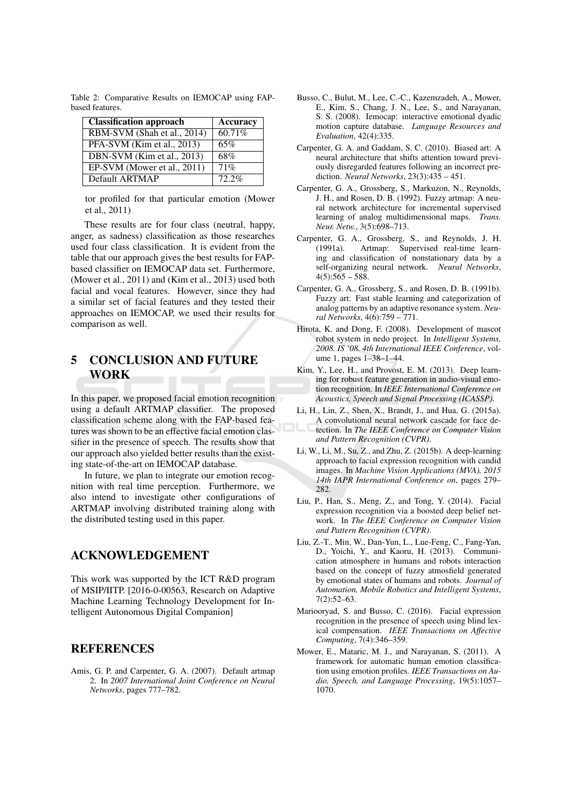| Classification approach     | <b>Accuracy</b> |  |
|-----------------------------|-----------------|--|
| RBM-SVM (Shah et al., 2014) | 60.71%          |  |
| PFA-SVM (Kim et al., 2013)  | 65%             |  |
| DBN-SVM (Kim et al., 2013)  | 68%             |  |
| EP-SVM (Mower et al., 2011) | 71%             |  |
| Default ARTMAP              | $72.2\%$        |  |

Table 2: Comparative Results on IEMOCAP using FAPbased features.

tor profiled for that particular emotion (Mower et al., 2011)

These results are for four class (neutral, happy, anger, as sadness) classification as those researches used four class classification. It is evident from the table that our approach gives the best results for FAPbased classifier on IEMOCAP data set. Furthermore, (Mower et al., 2011) and (Kim et al., 2013) used both facial and vocal features. However, since they had a similar set of facial features and they tested their approaches on IEMOCAP, we used their results for comparison as well.

## 5 **CONCLUSION AND FUTURE WORK**

In this paper, we proposed facial emotion recognition using a default ARTMAP classifier. The proposed classification scheme along with the FAP-based features was shown to be an effective facial emotion classifier in the presence of speech. The results show that our approach also yielded better results than the existing state-of-the-art on IEMOCAP database.

In future, we plan to integrate our emotion recognition with real time perception. Furthermore, we also intend to investigate other configurations of ARTMAP involving distributed training along with the distributed testing used in this paper.

## **ACKNOWLEDGEMENT**

This work was supported by the ICT R&D program of MSIP/IITP. [2016-0-00563, Research on Adaptive Machine Learning Technology Development for Intelligent Autonomous Digital Companion]

# **REFERENCES**

Amis, G. P. and Carpenter, G. A. (2007). Default artmap 2. In 2007 International Joint Conference on Neural Networks, pages 777-782.

- Busso, C., Bulut, M., Lee, C.-C., Kazemzadeh, A., Mower, E., Kim, S., Chang, J. N., Lee, S., and Narayanan, S. S. (2008). Iemocap: interactive emotional dyadic motion capture database. Language Resources and Evaluation, 42(4):335.
- Carpenter, G. A. and Gaddam, S. C. (2010). Biased art: A neural architecture that shifts attention toward previously disregarded features following an incorrect prediction. Neural Networks,  $23(3):435 - 451$ .
- Carpenter, G. A., Grossberg, S., Markuzon, N., Reynolds, J. H., and Rosen, D. B. (1992). Fuzzy artmap: A neural network architecture for incremental supervised learning of analog multidimensional maps. Trans. Neur. Netw., 3(5):698-713.
- Carpenter, G. A., Grossberg, S., and Reynolds, J. H.  $(1991a).$ Artmap: Supervised real-time learning and classification of nonstationary data by a self-organizing neural network. Neural Networks,  $4(5):565 - 588.$
- Carpenter, G. A., Grossberg, S., and Rosen, D. B. (1991b). Fuzzy art: Fast stable learning and categorization of analog patterns by an adaptive resonance system. Neural Networks, 4(6):759 - 771.
- Hirota, K. and Dong, F. (2008). Development of mascot robot system in nedo project. In *Intelligent Systems*, 2008. IS '08. 4th International IEEE Conference, volume 1, pages 1-38-1-44.
- Kim, Y., Lee, H., and Provost, E. M. (2013). Deep learning for robust feature generation in audio-visual emotion recognition. In IEEE International Conference on Acoustics, Speech and Signal Processing (ICASSP).
- Li, H., Lin, Z., Shen, X., Brandt, J., and Hua, G. (2015a). A convolutional neural network cascade for face detection. In The IEEE Conference on Computer Vision and Pattern Recognition (CVPR).
- Li, W., Li, M., Su, Z., and Zhu, Z. (2015b). A deep-learning approach to facial expression recognition with candid images. In Machine Vision Applications (MVA), 2015 14th IAPR International Conference on, pages 279-282
- Liu, P., Han, S., Meng, Z., and Tong, Y. (2014). Facial expression recognition via a boosted deep belief network. In The IEEE Conference on Computer Vision and Pattern Recognition (CVPR).
- Liu, Z.-T., Min, W., Dan-Yun, L., Lue-Feng, C., Fang-Yan, D., Yoichi, Y., and Kaoru, H. (2013). Communication atmosphere in humans and robots interaction based on the concept of fuzzy atmosfield generated by emotional states of humans and robots. Journal of Automation, Mobile Robotics and Intelligent Systems,  $7(2):52-63.$
- Mariooryad, S. and Busso, C. (2016). Facial expression recognition in the presence of speech using blind lexical compensation. IEEE Transactions on Affective Computing, 7(4):346-359.
- Mower, E., Mataric, M. J., and Narayanan, S. (2011). A framework for automatic human emotion classification using emotion profiles. IEEE Transactions on Audio, Speech, and Language Processing, 19(5):1057-1070.